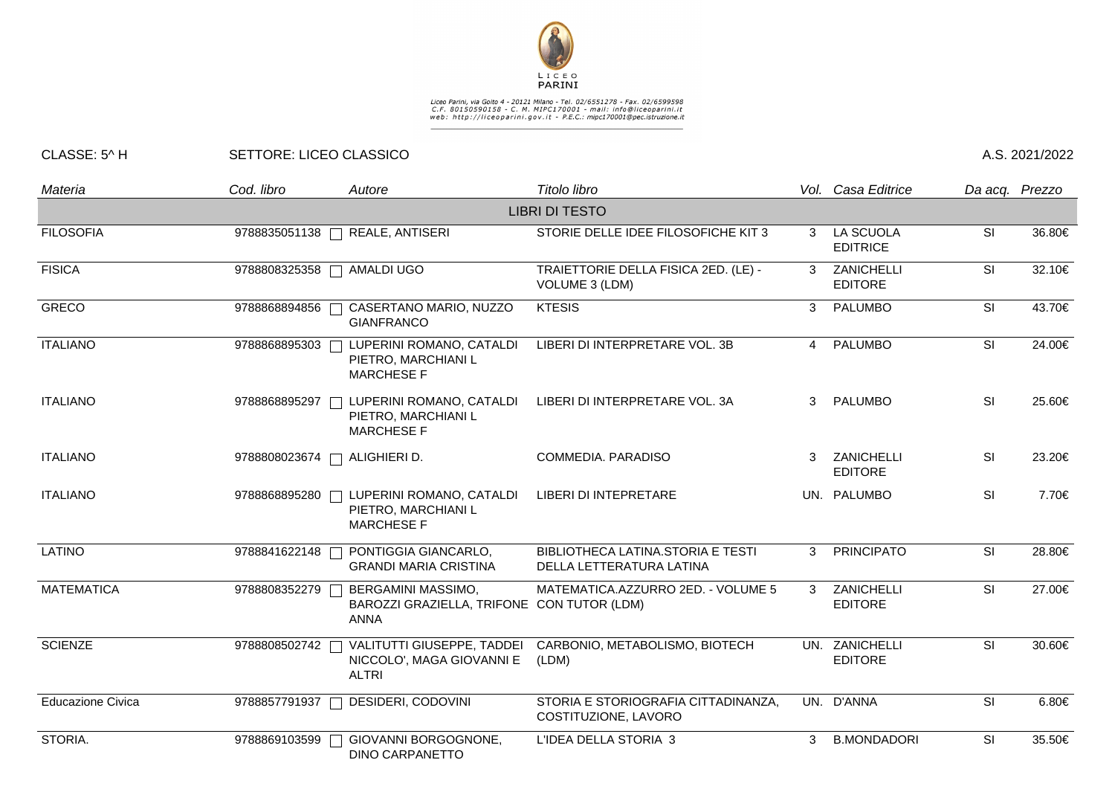

## Liceo Parini, via Goito 4 - 20121 Milano - Tel. 02/6551278 - Fax. 02/6599598<br>C.F. 80150590158 - C. M. MIPC170001 - mail: info@liceoparini.it<br>web: http://liceoparini.gov.it - P.E.C.: mipc170001@pec.istruzione.it

## CLASSE: 5^ H SETTORE: LICEO CLASSICO A.S. 2021/2022

| Materia                  | Cod. libro    | Autore                                                                          | Titolo libro                                                  |                        | Vol. Casa Editrice                  |           | Da acq. Prezzo |
|--------------------------|---------------|---------------------------------------------------------------------------------|---------------------------------------------------------------|------------------------|-------------------------------------|-----------|----------------|
|                          |               |                                                                                 | <b>LIBRI DI TESTO</b>                                         |                        |                                     |           |                |
| <b>FILOSOFIA</b>         | 9788835051138 | REALE, ANTISERI                                                                 | STORIE DELLE IDEE FILOSOFICHE KIT 3                           | 3                      | <b>LA SCUOLA</b><br><b>EDITRICE</b> | <b>SI</b> | 36.80€         |
| <b>FISICA</b>            | 9788808325358 | AMALDI UGO                                                                      | TRAIETTORIE DELLA FISICA 2ED. (LE) -<br>VOLUME 3 (LDM)        | 3                      | ZANICHELLI<br><b>EDITORE</b>        | <b>SI</b> | 32.10€         |
| <b>GRECO</b>             | 9788868894856 | CASERTANO MARIO, NUZZO<br><b>GIANFRANCO</b>                                     | <b>KTESIS</b>                                                 | 3                      | <b>PALUMBO</b>                      | <b>SI</b> | 43.70€         |
| <b>ITALIANO</b>          | 9788868895303 | LUPERINI ROMANO, CATALDI<br>PIETRO, MARCHIANI L<br><b>MARCHESE F</b>            | LIBERI DI INTERPRETARE VOL. 3B                                | $\boldsymbol{\Lambda}$ | PALUMBO                             | SI        | 24.00€         |
| <b>ITALIANO</b>          | 9788868895297 | LUPERINI ROMANO, CATALDI<br>PIETRO, MARCHIANI L<br><b>MARCHESE F</b>            | LIBERI DI INTERPRETARE VOL. 3A                                | 3                      | PALUMBO                             | SI        | 25.60€         |
| <b>ITALIANO</b>          | 9788808023674 | ALIGHIERI D.                                                                    | COMMEDIA. PARADISO                                            |                        | ZANICHELLI<br><b>EDITORE</b>        | SI        | 23.20€         |
| <b>ITALIANO</b>          | 9788868895280 | LUPERINI ROMANO, CATALDI<br>PIETRO, MARCHIANI L<br><b>MARCHESE F</b>            | LIBERI DI INTEPRETARE                                         |                        | UN. PALUMBO                         | SI        | 7.70€          |
| LATINO                   | 9788841622148 | PONTIGGIA GIANCARLO,<br><b>GRANDI MARIA CRISTINA</b>                            | BIBLIOTHECA LATINA.STORIA E TESTI<br>DELLA LETTERATURA LATINA | 3                      | <b>PRINCIPATO</b>                   | SI        | 28.80€         |
| <b>MATEMATICA</b>        | 9788808352279 | BERGAMINI MASSIMO,<br>BAROZZI GRAZIELLA, TRIFONE CON TUTOR (LDM)<br><b>ANNA</b> | MATEMATICA.AZZURRO 2ED. - VOLUME 5                            | 3                      | ZANICHELLI<br><b>EDITORE</b>        | SI        | 27.00€         |
| <b>SCIENZE</b>           | 9788808502742 | VALITUTTI GIUSEPPE, TADDEI<br>NICCOLO', MAGA GIOVANNI E<br><b>ALTRI</b>         | CARBONIO, METABOLISMO, BIOTECH<br>(LDM)                       |                        | UN. ZANICHELLI<br><b>EDITORE</b>    | SI        | 30.60€         |
| <b>Educazione Civica</b> | 9788857791937 | DESIDERI, CODOVINI                                                              | STORIA E STORIOGRAFIA CITTADINANZA,<br>COSTITUZIONE, LAVORO   |                        | UN. D'ANNA                          | SI        | 6.80€          |
| STORIA.                  | 9788869103599 | GIOVANNI BORGOGNONE,<br><b>DINO CARPANETTO</b>                                  | L'IDEA DELLA STORIA 3                                         | 3                      | <b>B.MONDADORI</b>                  | SI        | 35.50€         |